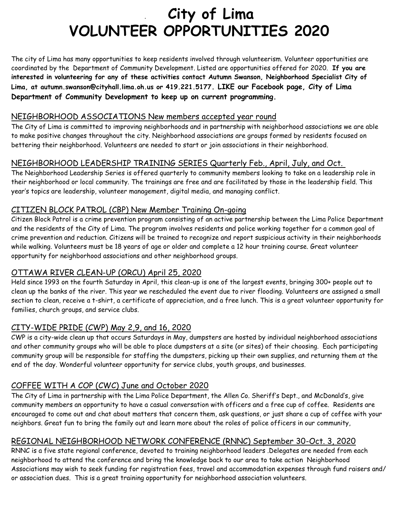# . **City of Lima VOLUNTEER OPPORTUNITIES 2020**

The city of Lima has many opportunities to keep residents involved through volunteerism. Volunteer opportunities are coordinated by the Department of Community Development. Listed are opportunities offered for 2020. **If you are interested in volunteering for any of these activities contact Autumn Swanson, Neighborhood Specialist City of Lima, at autumn.swanson@cityhall.lima.oh.us or 419.221.5177. LIKE our Facebook page, City of Lima Department of Community Development to keep up on current programming.**

### NEIGHBORHOOD ASSOCIATIONS New members accepted year round

The City of Lima is committed to improving neighborhoods and in partnership with neighborhood associations we are able to make positive changes throughout the city. Neighborhood associations are groups formed by residents focused on bettering their neighborhood. Volunteers are needed to start or join associations in their neighborhood.

## NEIGHBORHOOD LEADERSHIP TRAINING SERIES Quarterly Feb., April, July, and Oct.

The Neighborhood Leadership Series is offered quarterly to community members looking to take on a leadership role in their neighborhood or local community. The trainings are free and are facilitated by those in the leadership field. This year's topics are leadership, volunteer management, digital media, and managing conflict.

## CITIZEN BLOCK PATROL (CBP) New Member Training On-going

Citizen Block Patrol is a crime prevention program consisting of an active partnership between the Lima Police Department and the residents of the City of Lima. The program involves residents and police working together for a common goal of crime prevention and reduction. Citizens will be trained to recognize and report suspicious activity in their neighborhoods while walking. Volunteers must be 18 years of age or older and complete a 12 hour training course. Great volunteer opportunity for neighborhood associations and other neighborhood groups.

## OTTAWA RIVER CLEAN-UP (ORCU) April 25, 2020

Held since 1993 on the fourth Saturday in April, this clean-up is one of the largest events, bringing 300+ people out to clean up the banks of the river. This year we rescheduled the event due to river flooding. Volunteers are assigned a small section to clean, receive a t-shirt, a certificate of appreciation, and a free lunch. This is a great volunteer opportunity for families, church groups, and service clubs.

### CITY-WIDE PRIDE (CWP) May 2,9, and 16, 2020

CWP is a city-wide clean up that occurs Saturdays in May, dumpsters are hosted by individual neighborhood associations and other community groups who will be able to place dumpsters at a site (or sites) of their choosing. Each participating community group will be responsible for staffing the dumpsters, picking up their own supplies, and returning them at the end of the day. Wonderful volunteer opportunity for service clubs, youth groups, and businesses.

## COFFEE WITH A COP (CWC) June and October 2020

The City of Lima in partnership with the Lima Police Department, the Allen Co. Sheriff's Dept., and McDonald's, give community members an opportunity to have a casual conversation with officers and a free cup of coffee. Residents are encouraged to come out and chat about matters that concern them, ask questions, or just share a cup of coffee with your neighbors. Great fun to bring the family out and learn more about the roles of police officers in our community,

## REGIONAL NEIGHBORHOOD NETWORK CONFERENCE (RNNC) September 30-Oct. 3, 2020

RNNC is a five state regional conference, devoted to training neighborhood leaders .Delegates are needed from each neighborhood to attend the conference and bring the knowledge back to our area to take action Neighborhood Associations may wish to seek funding for registration fees, travel and accommodation expenses through fund raisers and/ or association dues. This is a great training opportunity for neighborhood association volunteers.